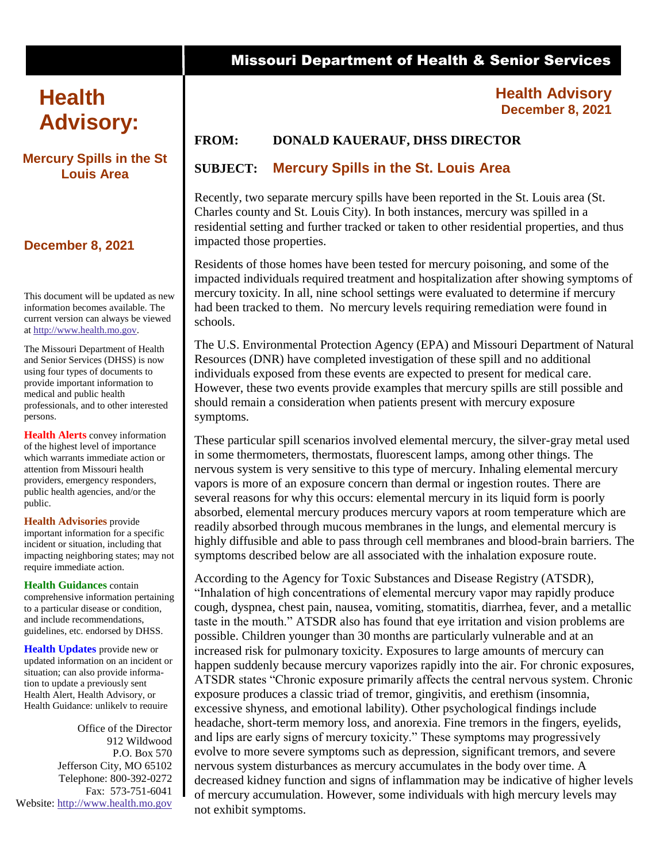# **Advisory: Health**

#### **Mercury Spills in the St Louis Area**

## **December 8, 2021**

This document will be updated as new information becomes available. The current version can always be viewed at [http://www.health.mo.gov.](http://www.health.mo.gov/)

The Missouri Department of Health and Senior Services (DHSS) is now using four types of documents to provide important information to medical and public health professionals, and to other interested persons.

**Health Alerts** convey information of the highest level of importance which warrants immediate action or attention from Missouri health providers, emergency responders, public health agencies, and/or the public.

**Health Advisories** provide important information for a specific incident or situation, including that impacting neighboring states; may not require immediate action.

**Health Guidances** contain comprehensive information pertaining to a particular disease or condition, and include recommendations, guidelines, etc. endorsed by DHSS.

**Health Updates** provide new or updated information on an incident or situation; can also provide information to update a previously sent Health Alert, Health Advisory, or Health Guidance: unlikely to require

Office of the Director 912 Wildwood P.O. Box 570 Jefferson City, MO 65102 Telephone: 800-392-0272 Fax: 573-751-6041 Website: [http://www.health.mo.gov](http://www.health.mo.gov/)

# Missouri Department of Health & Senior Services

## **Health Advisory December 8, 2021**

## **FROM: DONALD KAUERAUF, DHSS DIRECTOR**

## **SUBJECT: Mercury Spills in the St. Louis Area**

Recently, two separate mercury spills have been reported in the St. Louis area (St. Charles county and St. Louis City). In both instances, mercury was spilled in a residential setting and further tracked or taken to other residential properties, and thus impacted those properties.

Residents of those homes have been tested for mercury poisoning, and some of the impacted individuals required treatment and hospitalization after showing symptoms of mercury toxicity. In all, nine school settings were evaluated to determine if mercury had been tracked to them. No mercury levels requiring remediation were found in schools.

The U.S. Environmental Protection Agency (EPA) and Missouri Department of Natural Resources (DNR) have completed investigation of these spill and no additional individuals exposed from these events are expected to present for medical care. However, these two events provide examples that mercury spills are still possible and should remain a consideration when patients present with mercury exposure symptoms.

These particular spill scenarios involved elemental mercury, the silver-gray metal used in some thermometers, thermostats, fluorescent lamps, among other things. The nervous system is very sensitive to this type of mercury. Inhaling elemental mercury vapors is more of an exposure concern than dermal or ingestion routes. There are several reasons for why this occurs: elemental mercury in its liquid form is poorly absorbed, elemental mercury produces mercury vapors at room temperature which are readily absorbed through mucous membranes in the lungs, and elemental mercury is highly diffusible and able to pass through cell membranes and blood-brain barriers. The symptoms described below are all associated with the inhalation exposure route.

According to the Agency for Toxic Substances and Disease Registry (ATSDR), "Inhalation of high concentrations of elemental mercury vapor may rapidly produce cough, dyspnea, chest pain, nausea, vomiting, stomatitis, diarrhea, fever, and a metallic taste in the mouth." ATSDR also has found that eye irritation and vision problems are possible. Children younger than 30 months are particularly vulnerable and at an increased risk for pulmonary toxicity. Exposures to large amounts of mercury can happen suddenly because mercury vaporizes rapidly into the air. For chronic exposures, ATSDR states "Chronic exposure primarily affects the central nervous system. Chronic exposure produces a classic triad of tremor, gingivitis, and erethism (insomnia, excessive shyness, and emotional lability). Other psychological findings include headache, short-term memory loss, and anorexia. Fine tremors in the fingers, eyelids, and lips are early signs of mercury toxicity." These symptoms may progressively evolve to more severe symptoms such as depression, significant tremors, and severe nervous system disturbances as mercury accumulates in the body over time. A decreased kidney function and signs of inflammation may be indicative of higher levels of mercury accumulation. However, some individuals with high mercury levels may not exhibit symptoms.